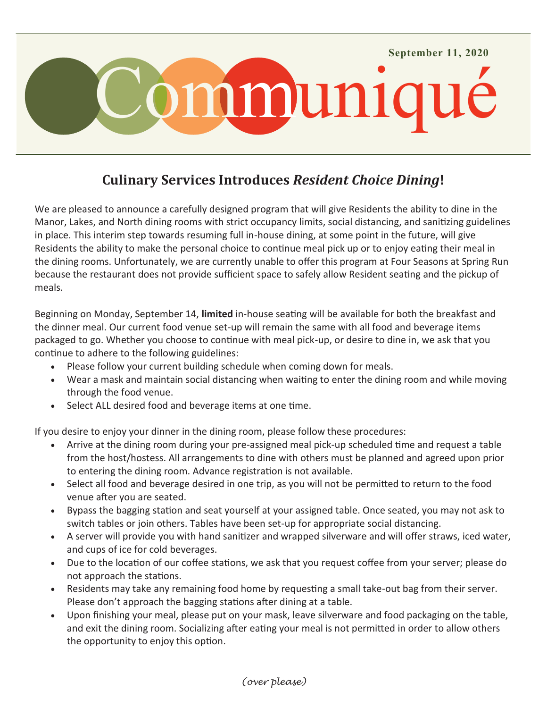

# **Culinary Services Introduces** *Resident Choice Dining***!**

We are pleased to announce a carefully designed program that will give Residents the ability to dine in the Manor, Lakes, and North dining rooms with strict occupancy limits, social distancing, and sanitizing guidelines in place. This interim step towards resuming full in-house dining, at some point in the future, will give Residents the ability to make the personal choice to continue meal pick up or to enjoy eating their meal in the dining rooms. Unfortunately, we are currently unable to offer this program at Four Seasons at Spring Run because the restaurant does not provide sufficient space to safely allow Resident seating and the pickup of meals.

Beginning on Monday, September 14, **limited** in-house seating will be available for both the breakfast and the dinner meal. Our current food venue set-up will remain the same with all food and beverage items packaged to go. Whether you choose to continue with meal pick-up, or desire to dine in, we ask that you continue to adhere to the following guidelines:

- Please follow your current building schedule when coming down for meals.
- Wear a mask and maintain social distancing when waiting to enter the dining room and while moving through the food venue.
- Select ALL desired food and beverage items at one time.

If you desire to enjoy your dinner in the dining room, please follow these procedures:

- Arrive at the dining room during your pre-assigned meal pick-up scheduled time and request a table from the host/hostess. All arrangements to dine with others must be planned and agreed upon prior to entering the dining room. Advance registration is not available.
- Select all food and beverage desired in one trip, as you will not be permitted to return to the food venue after you are seated.
- Bypass the bagging station and seat yourself at your assigned table. Once seated, you may not ask to switch tables or join others. Tables have been set-up for appropriate social distancing.
- A server will provide you with hand sanitizer and wrapped silverware and will offer straws, iced water, and cups of ice for cold beverages.
- Due to the location of our coffee stations, we ask that you request coffee from your server; please do not approach the stations.
- Residents may take any remaining food home by requesting a small take-out bag from their server. Please don't approach the bagging stations after dining at a table.
- Upon finishing your meal, please put on your mask, leave silverware and food packaging on the table, and exit the dining room. Socializing after eating your meal is not permitted in order to allow others the opportunity to enjoy this option.